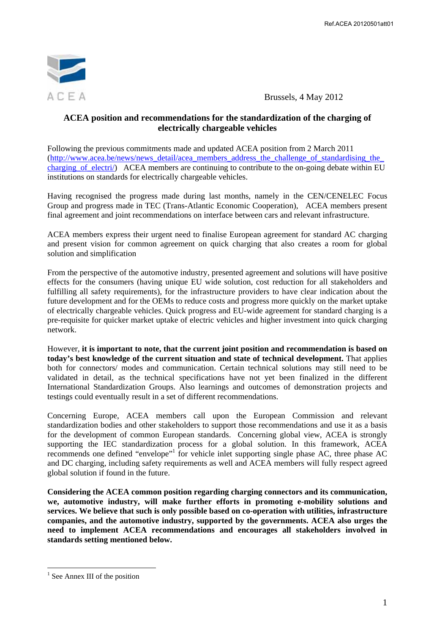

 $A \subseteq E$  A Brussels, 4 May 2012

### **ACEA position and recommendations for the standardization of the charging of electrically chargeable vehicles**

Following the previous commitments made and updated ACEA position from 2 March 2011 (http://www.acea.be/news/news\_detail/acea\_members\_address\_the\_challenge\_of\_standardising\_the\_ charging of electri/) ACEA members are continuing to contribute to the on-going debate within EU institutions on standards for electrically chargeable vehicles.

Having recognised the progress made during last months, namely in the CEN/CENELEC Focus Group and progress made in TEC (Trans-Atlantic Economic Cooperation), ACEA members present final agreement and joint recommendations on interface between cars and relevant infrastructure.

ACEA members express their urgent need to finalise European agreement for standard AC charging and present vision for common agreement on quick charging that also creates a room for global solution and simplification

From the perspective of the automotive industry, presented agreement and solutions will have positive effects for the consumers (having unique EU wide solution, cost reduction for all stakeholders and fulfilling all safety requirements), for the infrastructure providers to have clear indication about the future development and for the OEMs to reduce costs and progress more quickly on the market uptake of electrically chargeable vehicles. Quick progress and EU-wide agreement for standard charging is a pre-requisite for quicker market uptake of electric vehicles and higher investment into quick charging network.

However, **it is important to note, that the current joint position and recommendation is based on today's best knowledge of the current situation and state of technical development.** That applies both for connectors/ modes and communication. Certain technical solutions may still need to be validated in detail, as the technical specifications have not yet been finalized in the different International Standardization Groups. Also learnings and outcomes of demonstration projects and testings could eventually result in a set of different recommendations.

Concerning Europe, ACEA members call upon the European Commission and relevant standardization bodies and other stakeholders to support those recommendations and use it as a basis for the development of common European standards. Concerning global view, ACEA is strongly supporting the IEC standardization process for a global solution. In this framework, ACEA recommends one defined "envelope"<sup>1</sup> for vehicle inlet supporting single phase AC, three phase AC and DC charging, including safety requirements as well and ACEA members will fully respect agreed global solution if found in the future.

**Considering the ACEA common position regarding charging connectors and its communication, we, automotive industry, will make further efforts in promoting e-mobility solutions and services. We believe that such is only possible based on co-operation with utilities, infrastructure companies, and the automotive industry, supported by the governments. ACEA also urges the need to implement ACEA recommendations and encourages all stakeholders involved in standards setting mentioned below.** 

 $\overline{a}$ 

<sup>&</sup>lt;sup>1</sup> See Annex III of the position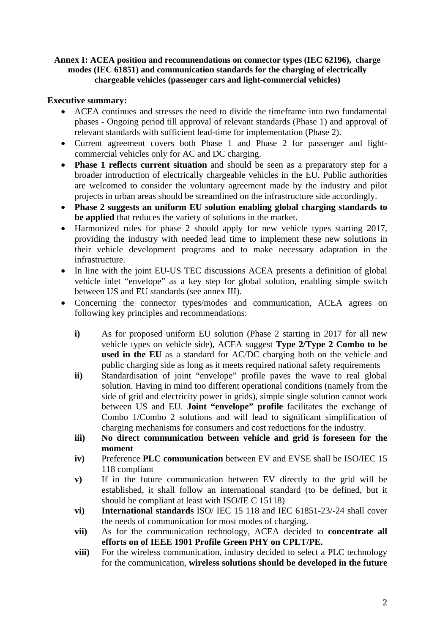# **Annex I: ACEA position and recommendations on connector types (IEC 62196), charge modes (IEC 61851) and communication standards for the charging of electrically chargeable vehicles (passenger cars and light-commercial vehicles)**

# **Executive summary:**

- ACEA continues and stresses the need to divide the timeframe into two fundamental phases - Ongoing period till approval of relevant standards (Phase 1) and approval of relevant standards with sufficient lead-time for implementation (Phase 2).
- Current agreement covers both Phase 1 and Phase 2 for passenger and lightcommercial vehicles only for AC and DC charging.
- **Phase 1 reflects current situation** and should be seen as a preparatory step for a broader introduction of electrically chargeable vehicles in the EU. Public authorities are welcomed to consider the voluntary agreement made by the industry and pilot projects in urban areas should be streamlined on the infrastructure side accordingly.
- **Phase 2 suggests an uniform EU solution enabling global charging standards to be applied** that reduces the variety of solutions in the market.
- Harmonized rules for phase 2 should apply for new vehicle types starting 2017, providing the industry with needed lead time to implement these new solutions in their vehicle development programs and to make necessary adaptation in the infrastructure.
- In line with the joint EU-US TEC discussions ACEA presents a definition of global vehicle inlet "envelope" as a key step for global solution, enabling simple switch between US and EU standards (see annex III).
- Concerning the connector types/modes and communication, ACEA agrees on following key principles and recommendations:
	- **i)** As for proposed uniform EU solution (Phase 2 starting in 2017 for all new vehicle types on vehicle side), ACEA suggest **Type 2/Type 2 Combo to be used in the EU** as a standard for AC/DC charging both on the vehicle and public charging side as long as it meets required national safety requirements
	- **ii)** Standardisation of joint "envelope" profile paves the wave to real global solution. Having in mind too different operational conditions (namely from the side of grid and electricity power in grids), simple single solution cannot work between US and EU. **Joint "envelope" profile** facilitates the exchange of Combo 1/Combo 2 solutions and will lead to significant simplification of charging mechanisms for consumers and cost reductions for the industry.
	- **iii) No direct communication between vehicle and grid is foreseen for the moment**
	- **iv)** Preference **PLC communication** between EV and EVSE shall be ISO/IEC 15 118 compliant
	- **v)** If in the future communication between EV directly to the grid will be established, it shall follow an international standard (to be defined, but it should be compliant at least with ISO/IE C 15118)
	- **vi) International standards** ISO/ IEC 15 118 and IEC 61851-23/-24 shall cover the needs of communication for most modes of charging.
	- **vii)** As for the communication technology, ACEA decided to **concentrate all efforts on of IEEE 1901 Profile Green PHY on CPLT/PE.**
	- **viii)** For the wireless communication, industry decided to select a PLC technology for the communication, **wireless solutions should be developed in the future**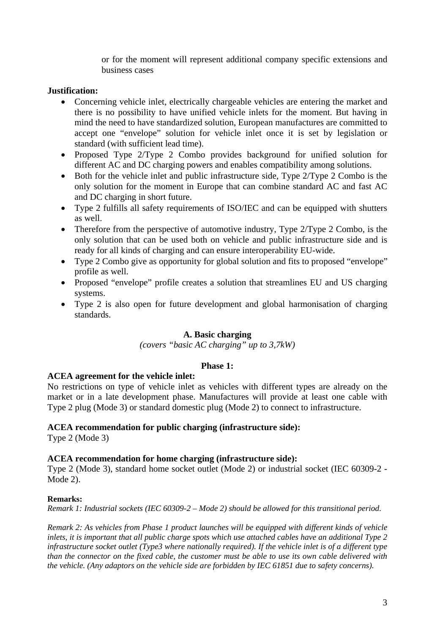or for the moment will represent additional company specific extensions and business cases

# **Justification:**

- Concerning vehicle inlet, electrically chargeable vehicles are entering the market and there is no possibility to have unified vehicle inlets for the moment. But having in mind the need to have standardized solution, European manufactures are committed to accept one "envelope" solution for vehicle inlet once it is set by legislation or standard (with sufficient lead time).
- Proposed Type 2/Type 2 Combo provides background for unified solution for different AC and DC charging powers and enables compatibility among solutions.
- Both for the vehicle inlet and public infrastructure side, Type 2/Type 2 Combo is the only solution for the moment in Europe that can combine standard AC and fast AC and DC charging in short future.
- Type 2 fulfills all safety requirements of ISO/IEC and can be equipped with shutters as well.
- Therefore from the perspective of automotive industry, Type 2/Type 2 Combo, is the only solution that can be used both on vehicle and public infrastructure side and is ready for all kinds of charging and can ensure interoperability EU-wide.
- Type 2 Combo give as opportunity for global solution and fits to proposed "envelope" profile as well.
- Proposed "envelope" profile creates a solution that streamlines EU and US charging systems.
- Type 2 is also open for future development and global harmonisation of charging standards.

### **A. Basic charging**

*(covers "basic AC charging" up to 3,7kW)* 

### **Phase 1:**

### **ACEA agreement for the vehicle inlet:**

No restrictions on type of vehicle inlet as vehicles with different types are already on the market or in a late development phase. Manufactures will provide at least one cable with Type 2 plug (Mode 3) or standard domestic plug (Mode 2) to connect to infrastructure.

### **ACEA recommendation for public charging (infrastructure side):**

Type 2 (Mode 3)

### **ACEA recommendation for home charging (infrastructure side):**

Type 2 (Mode 3), standard home socket outlet (Mode 2) or industrial socket (IEC 60309-2 - Mode 2).

### **Remarks:**

*Remark 1: Industrial sockets (IEC 60309-2 – Mode 2) should be allowed for this transitional period.* 

*Remark 2: As vehicles from Phase 1 product launches will be equipped with different kinds of vehicle inlets, it is important that all public charge spots which use attached cables have an additional Type 2 infrastructure socket outlet (Type3 where nationally required). If the vehicle inlet is of a different type than the connector on the fixed cable, the customer must be able to use its own cable delivered with the vehicle. (Any adaptors on the vehicle side are forbidden by IEC 61851 due to safety concerns).*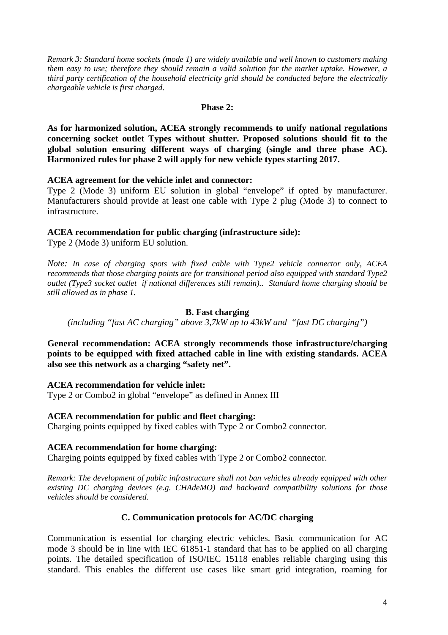*Remark 3: Standard home sockets (mode 1) are widely available and well known to customers making them easy to use; therefore they should remain a valid solution for the market uptake. However, a third party certification of the household electricity grid should be conducted before the electrically chargeable vehicle is first charged.* 

#### **Phase 2:**

**As for harmonized solution, ACEA strongly recommends to unify national regulations concerning socket outlet Types without shutter. Proposed solutions should fit to the global solution ensuring different ways of charging (single and three phase AC). Harmonized rules for phase 2 will apply for new vehicle types starting 2017.** 

### **ACEA agreement for the vehicle inlet and connector:**

Type 2 (Mode 3) uniform EU solution in global "envelope" if opted by manufacturer. Manufacturers should provide at least one cable with Type 2 plug (Mode 3) to connect to infrastructure.

# **ACEA recommendation for public charging (infrastructure side):**

Type 2 (Mode 3) uniform EU solution.

*Note: In case of charging spots with fixed cable with Type2 vehicle connector only, ACEA recommends that those charging points are for transitional period also equipped with standard Type2 outlet (Type3 socket outlet if national differences still remain).. Standard home charging should be still allowed as in phase 1.* 

# **B. Fast charging**

*(including "fast AC charging" above 3,7kW up to 43kW and "fast DC charging")* 

**General recommendation: ACEA strongly recommends those infrastructure/charging points to be equipped with fixed attached cable in line with existing standards. ACEA also see this network as a charging "safety net".** 

### **ACEA recommendation for vehicle inlet:**

Type 2 or Combo2 in global "envelope" as defined in Annex III

# **ACEA recommendation for public and fleet charging:**

Charging points equipped by fixed cables with Type 2 or Combo2 connector.

# **ACEA recommendation for home charging:**

Charging points equipped by fixed cables with Type 2 or Combo2 connector.

*Remark: The development of public infrastructure shall not ban vehicles already equipped with other existing DC charging devices (e.g. CHAdeMO) and backward compatibility solutions for those vehicles should be considered.* 

# **C. Communication protocols for AC/DC charging**

Communication is essential for charging electric vehicles. Basic communication for AC mode 3 should be in line with IEC 61851-1 standard that has to be applied on all charging points. The detailed specification of ISO/IEC 15118 enables reliable charging using this standard. This enables the different use cases like smart grid integration, roaming for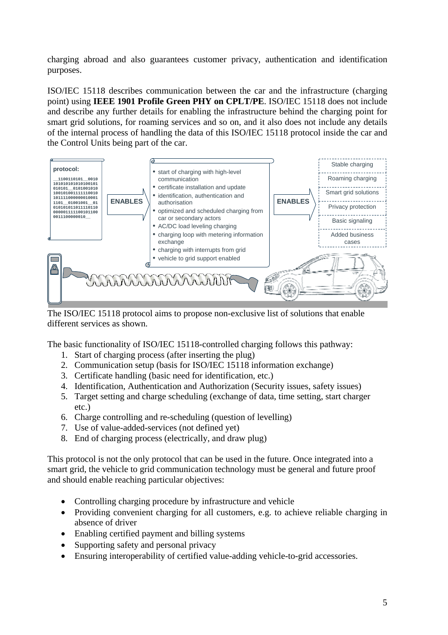charging abroad and also guarantees customer privacy, authentication and identification purposes.

ISO/IEC 15118 describes communication between the car and the infrastructure (charging point) using **IEEE 1901 Profile Green PHY on CPLT/PE**. ISO/IEC 15118 does not include and describe any further details for enabling the infrastructure behind the charging point for smart grid solutions, for roaming services and so on, and it also does not include any details of the internal process of handling the data of this ISO/IEC 15118 protocol inside the car and the Control Units being part of the car.



The ISO/IEC 15118 protocol aims to propose non-exclusive list of solutions that enable different services as shown.

The basic functionality of ISO/IEC 15118-controlled charging follows this pathway:

- 1. Start of charging process (after inserting the plug)
- 2. Communication setup (basis for ISO/IEC 15118 information exchange)
- 3. Certificate handling (basic need for identification, etc.)
- 4. Identification, Authentication and Authorization (Security issues, safety issues)
- 5. Target setting and charge scheduling (exchange of data, time setting, start charger etc.)
- 6. Charge controlling and re-scheduling (question of levelling)
- 7. Use of value-added-services (not defined yet)
- 8. End of charging process (electrically, and draw plug)

This protocol is not the only protocol that can be used in the future. Once integrated into a smart grid, the vehicle to grid communication technology must be general and future proof and should enable reaching particular objectives:

- Controlling charging procedure by infrastructure and vehicle
- Providing convenient charging for all customers, e.g. to achieve reliable charging in absence of driver
- Enabling certified payment and billing systems
- Supporting safety and personal privacy
- Ensuring interoperability of certified value-adding vehicle-to-grid accessories.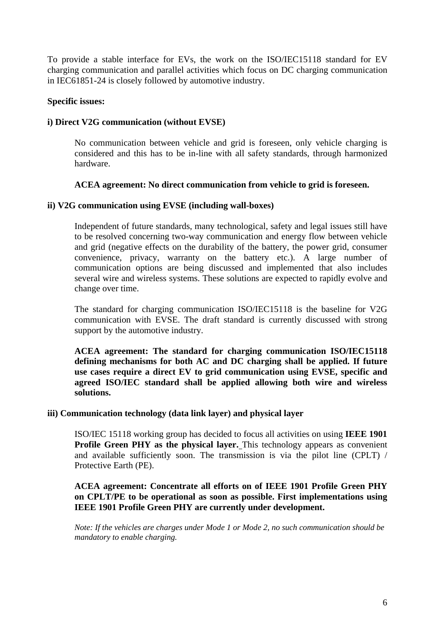To provide a stable interface for EVs, the work on the ISO/IEC15118 standard for EV charging communication and parallel activities which focus on DC charging communication in IEC61851-24 is closely followed by automotive industry.

### **Specific issues:**

### **i) Direct V2G communication (without EVSE)**

No communication between vehicle and grid is foreseen, only vehicle charging is considered and this has to be in-line with all safety standards, through harmonized hardware.

# **ACEA agreement: No direct communication from vehicle to grid is foreseen.**

### **ii) V2G communication using EVSE (including wall-boxes)**

Independent of future standards, many technological, safety and legal issues still have to be resolved concerning two-way communication and energy flow between vehicle and grid (negative effects on the durability of the battery, the power grid, consumer convenience, privacy, warranty on the battery etc.). A large number of communication options are being discussed and implemented that also includes several wire and wireless systems. These solutions are expected to rapidly evolve and change over time.

The standard for charging communication ISO/IEC15118 is the baseline for V2G communication with EVSE. The draft standard is currently discussed with strong support by the automotive industry.

**ACEA agreement: The standard for charging communication ISO/IEC15118 defining mechanisms for both AC and DC charging shall be applied. If future use cases require a direct EV to grid communication using EVSE, specific and agreed ISO/IEC standard shall be applied allowing both wire and wireless solutions.** 

### **iii) Communication technology (data link layer) and physical layer**

ISO/IEC 15118 working group has decided to focus all activities on using **IEEE 1901 Profile Green PHY as the physical layer.** This technology appears as convenient and available sufficiently soon. The transmission is via the pilot line (CPLT) / Protective Earth (PE).

# **ACEA agreement: Concentrate all efforts on of IEEE 1901 Profile Green PHY on CPLT/PE to be operational as soon as possible. First implementations using IEEE 1901 Profile Green PHY are currently under development.**

*Note: If the vehicles are charges under Mode 1 or Mode 2, no such communication should be mandatory to enable charging.*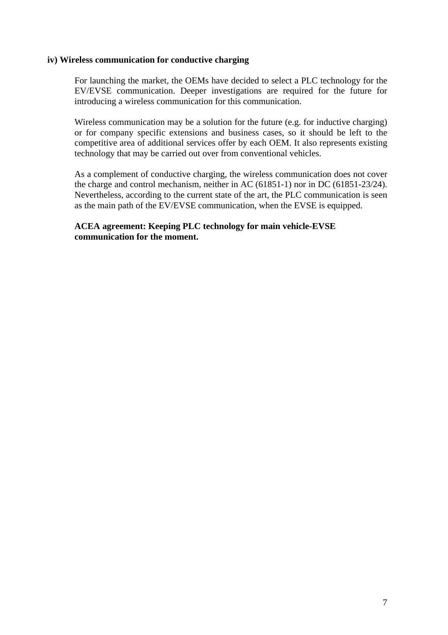#### **iv) Wireless communication for conductive charging**

For launching the market, the OEMs have decided to select a PLC technology for the EV/EVSE communication. Deeper investigations are required for the future for introducing a wireless communication for this communication.

Wireless communication may be a solution for the future (e.g. for inductive charging) or for company specific extensions and business cases, so it should be left to the competitive area of additional services offer by each OEM. It also represents existing technology that may be carried out over from conventional vehicles.

As a complement of conductive charging, the wireless communication does not cover the charge and control mechanism, neither in AC (61851-1) nor in DC (61851-23/24). Nevertheless, according to the current state of the art, the PLC communication is seen as the main path of the EV/EVSE communication, when the EVSE is equipped.

# **ACEA agreement: Keeping PLC technology for main vehicle-EVSE communication for the moment.**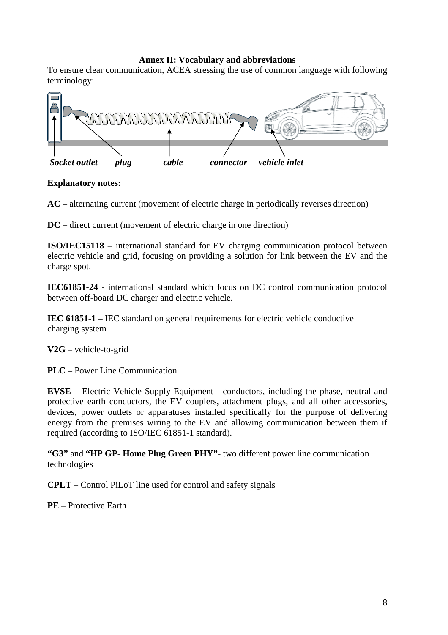# **Annex II: Vocabulary and abbreviations**

To ensure clear communication, ACEA stressing the use of common language with following terminology:



# **Explanatory notes:**

**AC –** alternating current (movement of electric charge in periodically reverses direction)

**DC –** direct current (movement of electric charge in one direction)

**ISO/IEC15118** – international standard for EV charging communication protocol between electric vehicle and grid, focusing on providing a solution for link between the EV and the charge spot.

**IEC61851-24** - international standard which focus on DC control communication protocol between off-board DC charger and electric vehicle.

**IEC 61851-1 –** IEC standard on general requirements for electric vehicle conductive charging system

**V2G** – vehicle-to-grid

**PLC –** Power Line Communication

**EVSE –** Electric Vehicle Supply Equipment - conductors, including the phase, neutral and protective earth conductors, the EV couplers, attachment plugs, and all other accessories, devices, power outlets or apparatuses installed specifically for the purpose of delivering energy from the premises wiring to the EV and allowing communication between them if required (according to ISO/IEC 61851-1 standard).

**"G3"** and **"HP GP- Home Plug Green PHY"**- two different power line communication technologies

**CPLT –** Control PiLoT line used for control and safety signals

**PE** – Protective Earth